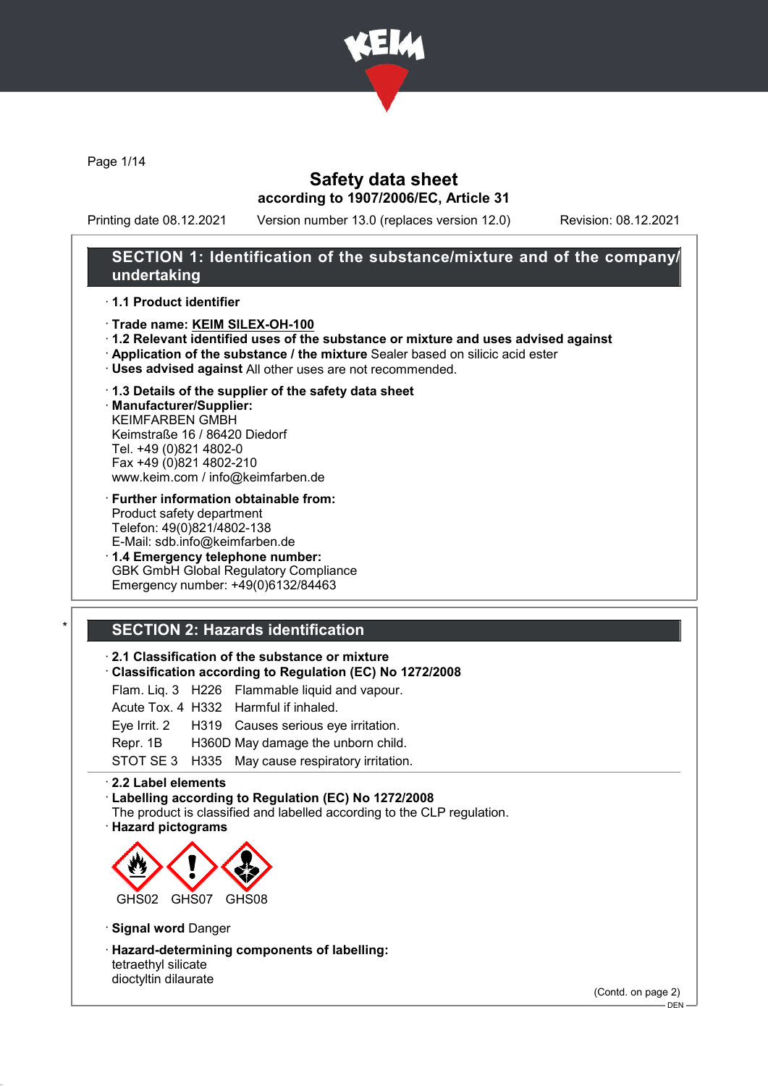

Page 1/14

# Safety data sheet according to 1907/2006/EC, Article 31

Printing date 08.12.2021 Version number 13.0 (replaces version 12.0) Revision: 08.12.2021

## SECTION 1: Identification of the substance/mixture and of the company/ undertaking

#### · 1.1 Product identifier

- · Trade name: KEIM SILEX-OH-100
- · 1.2 Relevant identified uses of the substance or mixture and uses advised against
- · Application of the substance / the mixture Sealer based on silicic acid ester
- · Uses advised against All other uses are not recommended.
- · 1.3 Details of the supplier of the safety data sheet

· Manufacturer/Supplier: KEIMFARBEN GMBH Keimstraße 16 / 86420 Diedorf Tel. +49 (0)821 4802-0 Fax +49 (0)821 4802-210 www.keim.com / info@keimfarben.de

- · Further information obtainable from: Product safety department Telefon: 49(0)821/4802-138 E-Mail: sdb.info@keimfarben.de
- · 1.4 Emergency telephone number: GBK GmbH Global Regulatory Compliance Emergency number: +49(0)6132/84463

# **SECTION 2: Hazards identification**

### · 2.1 Classification of the substance or mixture

· Classification according to Regulation (EC) No 1272/2008

Flam. Liq. 3 H226 Flammable liquid and vapour.

|  | Acute Tox. 4 H332 Harmful if inhaled.            |
|--|--------------------------------------------------|
|  | Eye Irrit. 2 H319 Causes serious eye irritation. |
|  | Repr. 1B H360D May damage the unborn child.      |
|  | STOT SE 3 H335 May cause respiratory irritation. |

#### · 2.2 Label elements

- · Labelling according to Regulation (EC) No 1272/2008
- The product is classified and labelled according to the CLP regulation.
- · Hazard pictograms



· Signal word Danger

· Hazard-determining components of labelling: tetraethyl silicate dioctyltin dilaurate

(Contd. on page 2)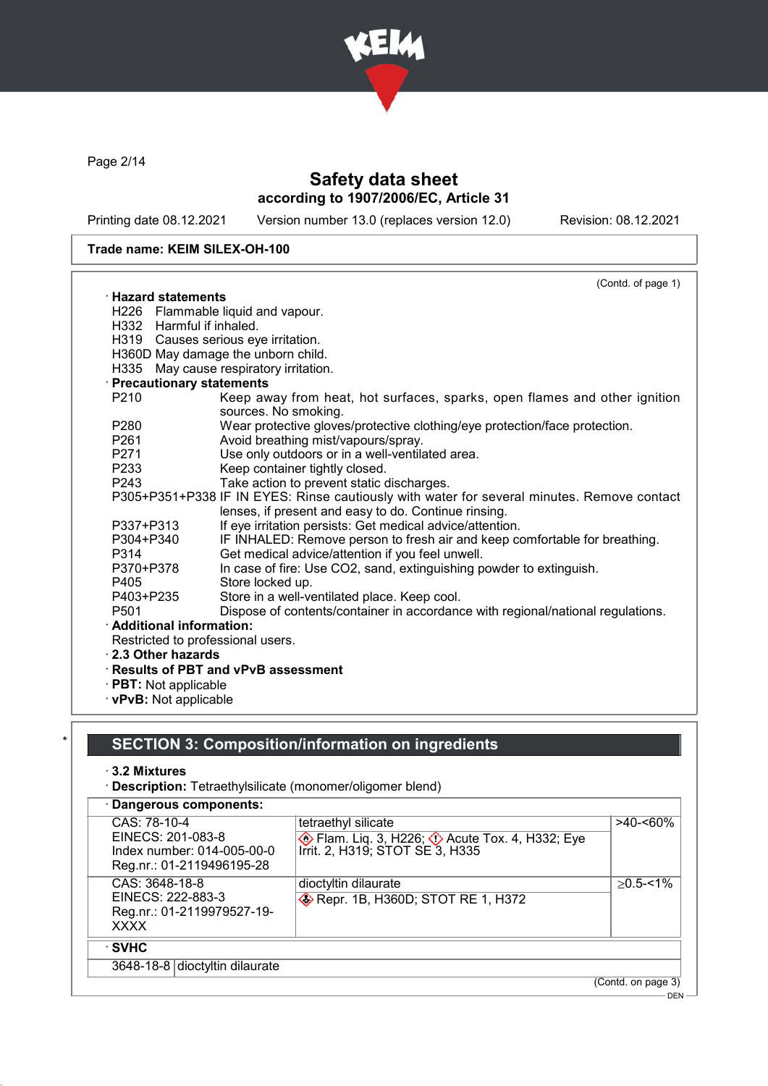

Page 2/14

# Safety data sheet according to 1907/2006/EC, Article 31

Printing date 08.12.2021 Version number 13.0 (replaces version 12.0) Revision: 08.12.2021

### Trade name: KEIM SILEX-OH-100

|                            | (Contd. of page 1)                                                                                                                                 |
|----------------------------|----------------------------------------------------------------------------------------------------------------------------------------------------|
| $\cdot$ Hazard statements  |                                                                                                                                                    |
|                            | H226 Flammable liquid and vapour.                                                                                                                  |
| H332 Harmful if inhaled.   |                                                                                                                                                    |
|                            | H319 Causes serious eye irritation.                                                                                                                |
|                            | H360D May damage the unborn child.                                                                                                                 |
| H335                       | May cause respiratory irritation.                                                                                                                  |
| · Precautionary statements |                                                                                                                                                    |
| P <sub>210</sub>           | Keep away from heat, hot surfaces, sparks, open flames and other ignition<br>sources. No smoking.                                                  |
| P280                       | Wear protective gloves/protective clothing/eye protection/face protection.                                                                         |
| P <sub>261</sub>           | Avoid breathing mist/vapours/spray.                                                                                                                |
| P271                       | Use only outdoors or in a well-ventilated area.                                                                                                    |
| P233                       | Keep container tightly closed.                                                                                                                     |
| P <sub>243</sub>           | Take action to prevent static discharges.                                                                                                          |
|                            | P305+P351+P338 IF IN EYES: Rinse cautiously with water for several minutes. Remove contact<br>lenses, if present and easy to do. Continue rinsing. |
| P337+P313                  | If eye irritation persists: Get medical advice/attention.                                                                                          |
| P304+P340<br>P314          | IF INHALED: Remove person to fresh air and keep comfortable for breathing.<br>Get medical advice/attention if you feel unwell.                     |
| P370+P378                  | In case of fire: Use CO2, sand, extinguishing powder to extinguish.                                                                                |
| P405                       | Store locked up.                                                                                                                                   |
| P403+P235                  | Store in a well-ventilated place. Keep cool.                                                                                                       |
| P <sub>501</sub>           | Dispose of contents/container in accordance with regional/national regulations.                                                                    |
| · Additional information:  |                                                                                                                                                    |
|                            | Restricted to professional users.                                                                                                                  |
| 2.3 Other hazards          |                                                                                                                                                    |
|                            | · Results of PBT and vPvB assessment                                                                                                               |
| RRT. M. L.                 |                                                                                                                                                    |

- · PBT: Not applicable
- · vPvB: Not applicable

# SECTION 3: Composition/information on ingredients

- · 3.2 Mixtures
- · Description: Tetraethylsilicate (monomer/oligomer blend)

| · Dangerous components:                                                                      |                                                                                                                       |                           |
|----------------------------------------------------------------------------------------------|-----------------------------------------------------------------------------------------------------------------------|---------------------------|
| CAS: 78-10-4<br>EINECS: 201-083-8<br>Index number: 014-005-00-0<br>Reg.nr.: 01-2119496195-28 | tetraethyl silicate<br><b>Example 13.</b> H226; $\Diamond$ Acute Tox. 4, H332; Eye<br>Irrit. 2, H319; STOT SE 3, H335 | >40-<60%                  |
| CAS: 3648-18-8<br>EINECS: 222-883-3<br>Reg.nr.: 01-2119979527-19-<br><b>XXXX</b>             | dioctyltin dilaurate<br>Repr. 1B, H360D; STOT RE 1, H372                                                              | $\geq$ 0.5-<1%            |
| ⊹SVHC<br>3648-18-8 dioctyltin dilaurate                                                      |                                                                                                                       |                           |
|                                                                                              |                                                                                                                       | (Contd. on page 3)<br>DEN |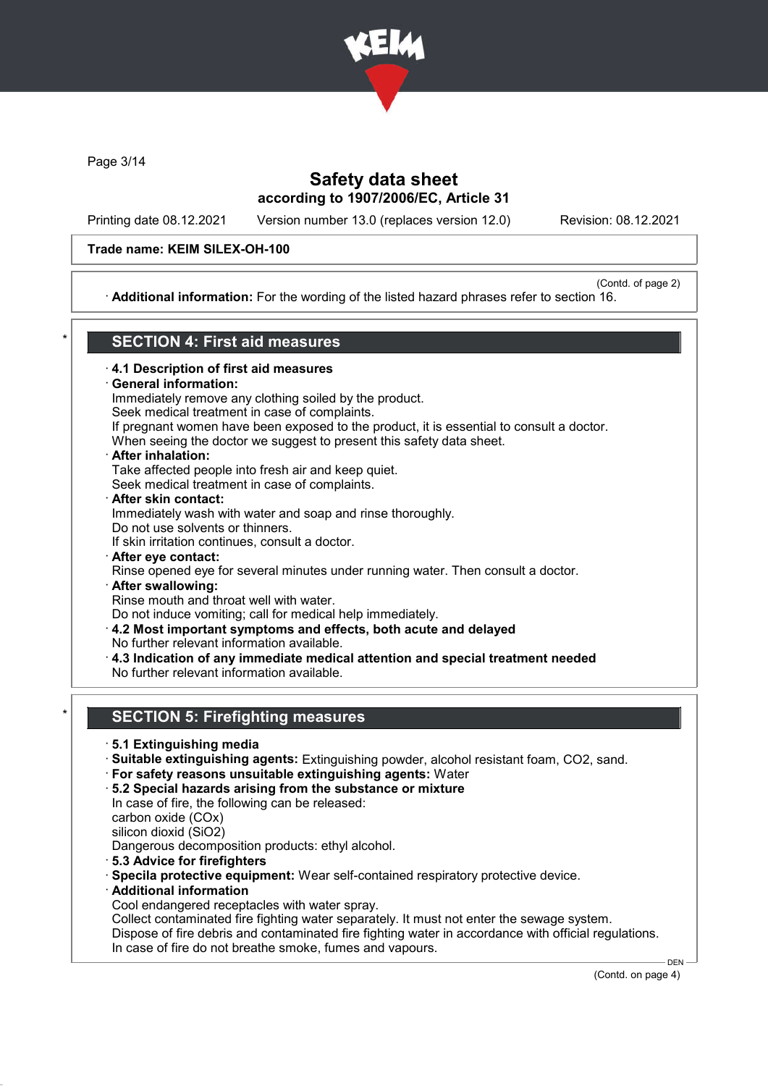

Page 3/14

# Safety data sheet according to 1907/2006/EC, Article 31

Printing date 08.12.2021 Version number 13.0 (replaces version 12.0) Revision: 08.12.2021

### Trade name: KEIM SILEX-OH-100

#### (Contd. of page 2) · Additional information: For the wording of the listed hazard phrases refer to section 16.

## SECTION 4: First aid measures

### · 4.1 Description of first aid measures

### General information:

Immediately remove any clothing soiled by the product.

Seek medical treatment in case of complaints.

If pregnant women have been exposed to the product, it is essential to consult a doctor.

When seeing the doctor we suggest to present this safety data sheet.

# · After inhalation:

Take affected people into fresh air and keep quiet. Seek medical treatment in case of complaints.

### · After skin contact:

Immediately wash with water and soap and rinse thoroughly. Do not use solvents or thinners.

If skin irritation continues, consult a doctor.

- · After eye contact:
- Rinse opened eye for several minutes under running water. Then consult a doctor. · After swallowing:

Rinse mouth and throat well with water.

Do not induce vomiting; call for medical help immediately.

- · 4.2 Most important symptoms and effects, both acute and delayed No further relevant information available.
- · 4.3 Indication of any immediate medical attention and special treatment needed

No further relevant information available.

# **SECTION 5: Firefighting measures**

- · 5.1 Extinguishing media
- · Suitable extinguishing agents: Extinguishing powder, alcohol resistant foam, CO2, sand.
- · For safety reasons unsuitable extinguishing agents: Water
- · 5.2 Special hazards arising from the substance or mixture
- In case of fire, the following can be released: carbon oxide (COx)

silicon dioxid (SiO2)

Dangerous decomposition products: ethyl alcohol.

- · 5.3 Advice for firefighters
- · Specila protective equipment: Wear self-contained respiratory protective device.
- **Additional information**

Cool endangered receptacles with water spray.

Collect contaminated fire fighting water separately. It must not enter the sewage system.

Dispose of fire debris and contaminated fire fighting water in accordance with official regulations. In case of fire do not breathe smoke, fumes and vapours.

(Contd. on page 4)

**DEN**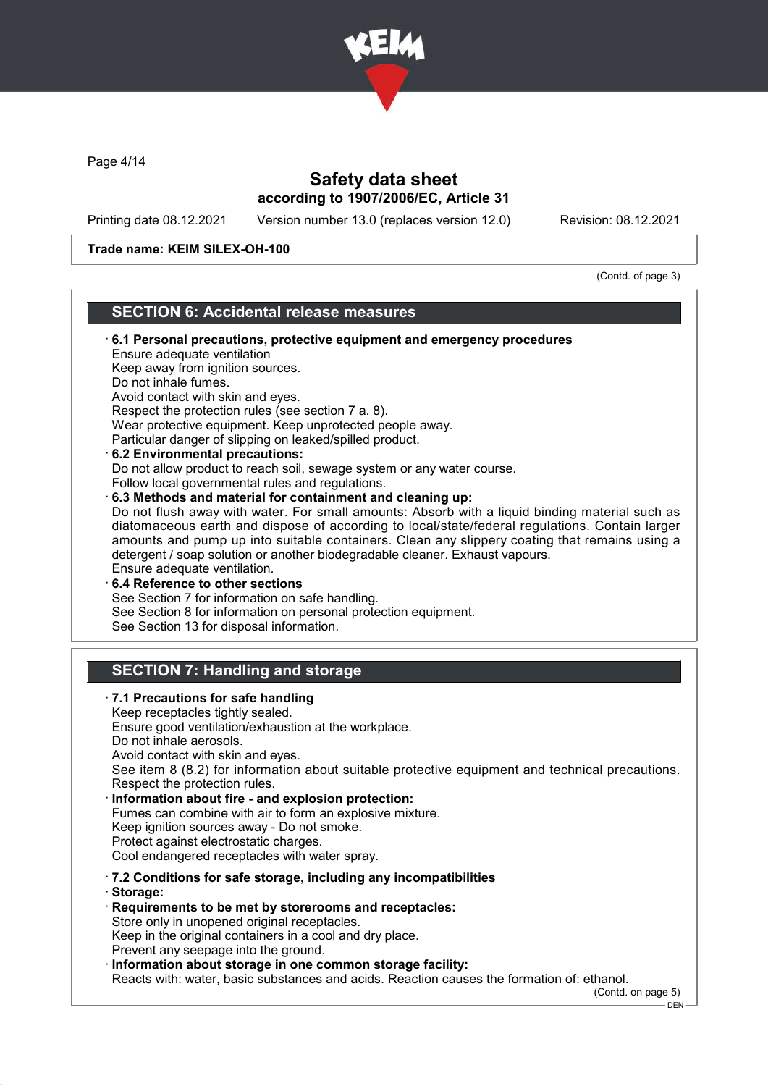

Page 4/14

# Safety data sheet according to 1907/2006/EC, Article 31

Printing date 08.12.2021 Version number 13.0 (replaces version 12.0) Revision: 08.12.2021

#### Trade name: KEIM SILEX-OH-100

(Contd. of page 3)

### SECTION 6: Accidental release measures

### · 6.1 Personal precautions, protective equipment and emergency procedures Ensure adequate ventilation Keep away from ignition sources. Do not inhale fumes. Avoid contact with skin and eyes. Respect the protection rules (see section 7 a. 8). Wear protective equipment. Keep unprotected people away. Particular danger of slipping on leaked/spilled product. · 6.2 Environmental precautions: Do not allow product to reach soil, sewage system or any water course. Follow local governmental rules and regulations. · 6.3 Methods and material for containment and cleaning up: Do not flush away with water. For small amounts: Absorb with a liquid binding material such as diatomaceous earth and dispose of according to local/state/federal regulations. Contain larger amounts and pump up into suitable containers. Clean any slippery coating that remains using a detergent / soap solution or another biodegradable cleaner. Exhaust vapours. Ensure adequate ventilation. · 6.4 Reference to other sections See Section 7 for information on safe handling. See Section 8 for information on personal protection equipment. See Section 13 for disposal information. SECTION 7: Handling and storage · 7.1 Precautions for safe handling Keep receptacles tightly sealed. Ensure good ventilation/exhaustion at the workplace. Do not inhale aerosols. Avoid contact with skin and eyes. See item 8 (8.2) for information about suitable protective equipment and technical precautions. Respect the protection rules. Information about fire - and explosion protection: Fumes can combine with air to form an explosive mixture. Keep ignition sources away - Do not smoke. Protect against electrostatic charges. Cool endangered receptacles with water spray. · 7.2 Conditions for safe storage, including any incompatibilities · Storage: · Requirements to be met by storerooms and receptacles: Store only in unopened original receptacles. Keep in the original containers in a cool and dry place. Prevent any seepage into the ground. · Information about storage in one common storage facility: Reacts with: water, basic substances and acids. Reaction causes the formation of: ethanol. (Contd. on page 5) DEN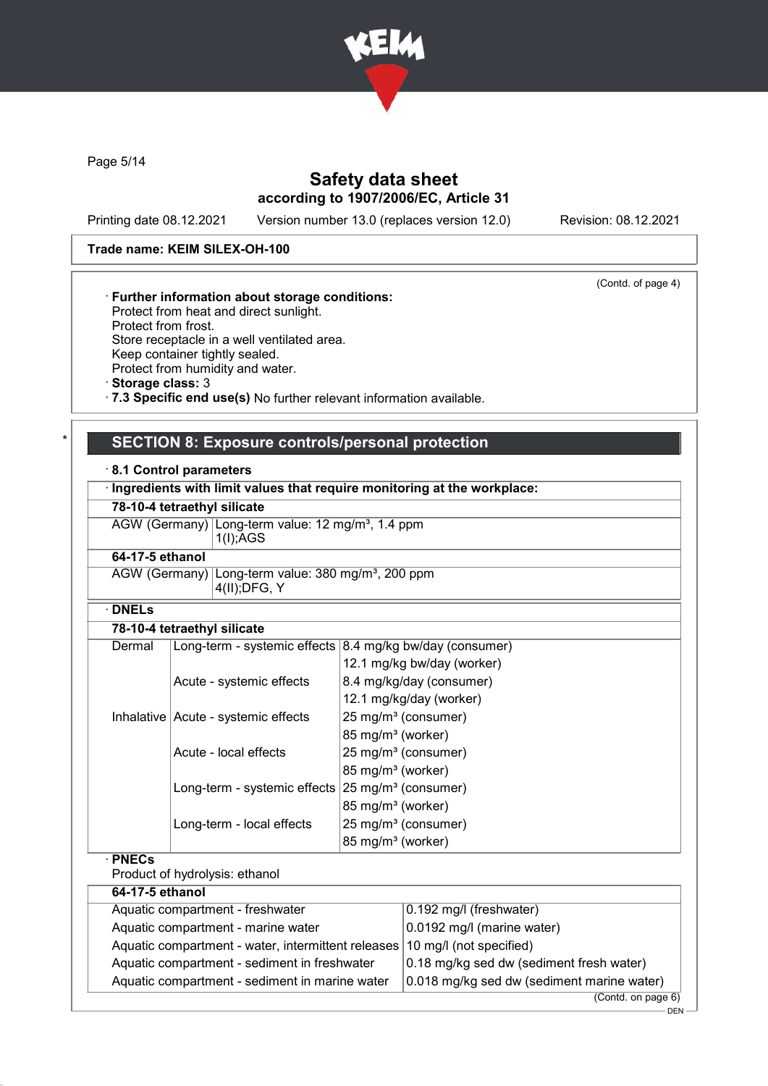

Page 5/14

# Safety data sheet according to 1907/2006/EC, Article 31

Printing date 08.12.2021 Version number 13.0 (replaces version 12.0) Revision: 08.12.2021

(Contd. of page 4)

### Trade name: KEIM SILEX-OH-100

### · Further information about storage conditions:

Protect from heat and direct sunlight. Protect from frost. Store receptacle in a well ventilated area. Keep container tightly sealed. Protect from humidity and water.

· Storage class: 3

· 7.3 Specific end use(s) No further relevant information available.

### SECTION 8: Exposure controls/personal protection

#### · 8.1 Control parameters

| Ingredients with limit values that require monitoring at the workplace: |                                                                                   |                                 |  |
|-------------------------------------------------------------------------|-----------------------------------------------------------------------------------|---------------------------------|--|
| 78-10-4 tetraethyl silicate                                             |                                                                                   |                                 |  |
| AGW (Germany) Long-term value: 12 mg/m <sup>3</sup> , 1.4 ppm           |                                                                                   |                                 |  |
|                                                                         | 1(I);AGS                                                                          |                                 |  |
|                                                                         | 64-17-5 ethanol                                                                   |                                 |  |
|                                                                         | AGW (Germany) Long-term value: 380 mg/m <sup>3</sup> , 200 ppm<br>$4(II);$ DFG, Y |                                 |  |
| $\cdot$ DNELs                                                           |                                                                                   |                                 |  |
|                                                                         | 78-10-4 tetraethyl silicate                                                       |                                 |  |
| Dermal                                                                  | Long-term - systemic effects                                                      | 8.4 mg/kg bw/day (consumer)     |  |
|                                                                         |                                                                                   | 12.1 mg/kg bw/day (worker)      |  |
|                                                                         | Acute - systemic effects                                                          | 8.4 mg/kg/day (consumer)        |  |
|                                                                         |                                                                                   | 12.1 mg/kg/day (worker)         |  |
|                                                                         | Inhalative Acute - systemic effects                                               | 25 mg/m <sup>3</sup> (consumer) |  |
|                                                                         |                                                                                   | 85 mg/m <sup>3</sup> (worker)   |  |
|                                                                         | Acute - local effects                                                             | 25 mg/m <sup>3</sup> (consumer) |  |
|                                                                         |                                                                                   | 85 mg/m <sup>3</sup> (worker)   |  |
|                                                                         | Long-term - systemic effects                                                      | 25 mg/m <sup>3</sup> (consumer) |  |
|                                                                         |                                                                                   | 85 mg/m <sup>3</sup> (worker)   |  |
|                                                                         | Long-term - local effects                                                         | 25 mg/m <sup>3</sup> (consumer) |  |
|                                                                         |                                                                                   | 85 mg/m <sup>3</sup> (worker)   |  |
| $\cdot$ PNECs                                                           |                                                                                   |                                 |  |
|                                                                         | Product of hydrolysis: ethanol                                                    |                                 |  |
|                                                                         | 8.4.49.8.46.3.3.1.                                                                |                                 |  |

| 64-17-5 ethanol                                                            |                                             |  |
|----------------------------------------------------------------------------|---------------------------------------------|--|
| Aquatic compartment - freshwater                                           | $(0.192 \text{ mg/l} \text{ (freshwater)})$ |  |
| Aquatic compartment - marine water                                         | $0.0192$ mg/l (marine water)                |  |
| Aquatic compartment - water, intermittent releases 10 mg/l (not specified) |                                             |  |
| Aquatic compartment - sediment in freshwater                               | 0.18 mg/kg sed dw (sediment fresh water)    |  |
| Aquatic compartment - sediment in marine water                             | 0.018 mg/kg sed dw (sediment marine water)  |  |
|                                                                            | (Contd. on page 6)                          |  |

.<br>- DEN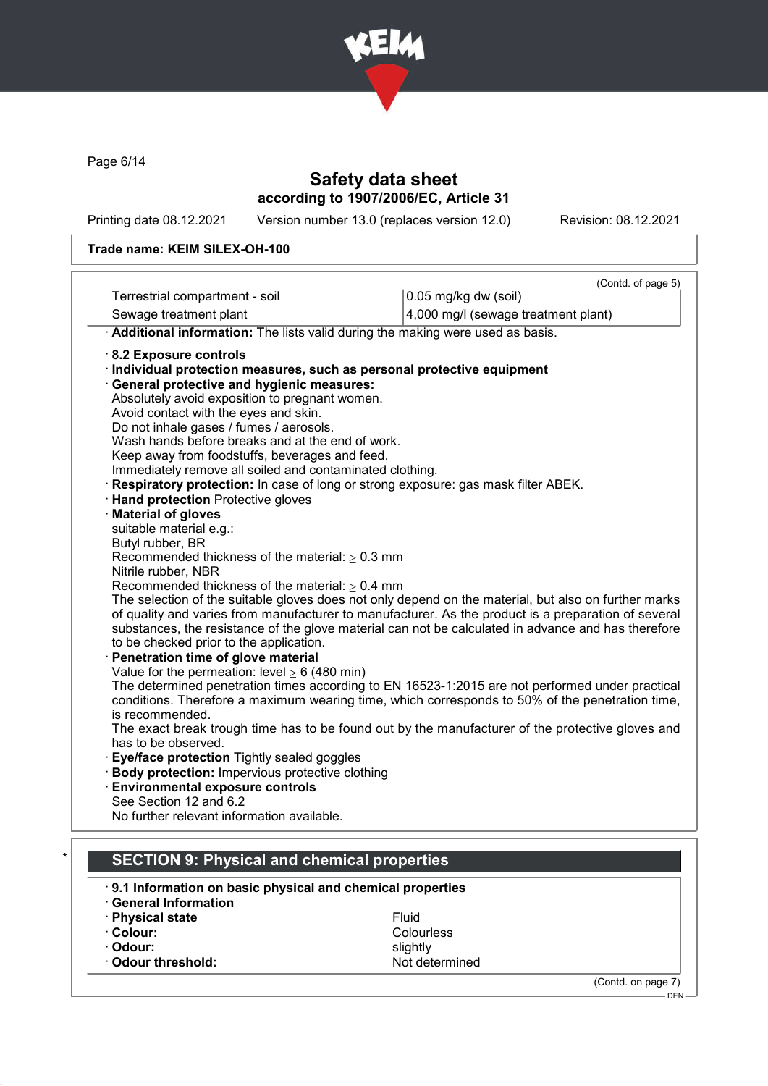

Page 6/14

# Safety data sheet according to 1907/2006/EC, Article 31

Printing date 08.12.2021 Version number 13.0 (replaces version 12.0) Revision: 08.12.2021

#### Trade name: KEIM SILEX-OH-100

| Terrestrial compartment - soil                                                                  | (Contd. of page 5)<br>0.05 mg/kg dw (soil)                                                           |  |
|-------------------------------------------------------------------------------------------------|------------------------------------------------------------------------------------------------------|--|
| Sewage treatment plant                                                                          | 4,000 mg/l (sewage treatment plant)                                                                  |  |
|                                                                                                 |                                                                                                      |  |
| · Additional information: The lists valid during the making were used as basis.                 |                                                                                                      |  |
| 8.2 Exposure controls                                                                           |                                                                                                      |  |
| · Individual protection measures, such as personal protective equipment                         |                                                                                                      |  |
| · General protective and hygienic measures:                                                     |                                                                                                      |  |
| Absolutely avoid exposition to pregnant women.                                                  |                                                                                                      |  |
| Avoid contact with the eyes and skin.                                                           |                                                                                                      |  |
| Do not inhale gases / fumes / aerosols.                                                         |                                                                                                      |  |
| Wash hands before breaks and at the end of work.                                                |                                                                                                      |  |
| Keep away from foodstuffs, beverages and feed.                                                  |                                                                                                      |  |
| Immediately remove all soiled and contaminated clothing.                                        |                                                                                                      |  |
| Respiratory protection: In case of long or strong exposure: gas mask filter ABEK.               |                                                                                                      |  |
| <b>Hand protection Protective gloves</b>                                                        |                                                                                                      |  |
| · Material of gloves                                                                            |                                                                                                      |  |
| suitable material e.g.:                                                                         |                                                                                                      |  |
| Butyl rubber, BR                                                                                |                                                                                                      |  |
| Recommended thickness of the material: $\geq 0.3$ mm                                            |                                                                                                      |  |
| Nitrile rubber, NBR<br>Recommended thickness of the material: $\geq 0.4$ mm                     |                                                                                                      |  |
|                                                                                                 | The selection of the suitable gloves does not only depend on the material, but also on further marks |  |
|                                                                                                 | of quality and varies from manufacturer to manufacturer. As the product is a preparation of several  |  |
|                                                                                                 | substances, the resistance of the glove material can not be calculated in advance and has therefore  |  |
| to be checked prior to the application.                                                         |                                                                                                      |  |
| Penetration time of glove material                                                              |                                                                                                      |  |
| Value for the permeation: level $\geq 6$ (480 min)                                              |                                                                                                      |  |
|                                                                                                 | The determined penetration times according to EN 16523-1:2015 are not performed under practical      |  |
| conditions. Therefore a maximum wearing time, which corresponds to 50% of the penetration time, |                                                                                                      |  |
| is recommended.                                                                                 |                                                                                                      |  |
|                                                                                                 | The exact break trough time has to be found out by the manufacturer of the protective gloves and     |  |
| has to be observed.                                                                             |                                                                                                      |  |
| Eye/face protection Tightly sealed goggles                                                      |                                                                                                      |  |
| Body protection: Impervious protective clothing                                                 |                                                                                                      |  |
| <b>Environmental exposure controls</b>                                                          |                                                                                                      |  |
| See Section 12 and 6.2                                                                          |                                                                                                      |  |
| No further relevant information available.                                                      |                                                                                                      |  |
|                                                                                                 |                                                                                                      |  |
|                                                                                                 |                                                                                                      |  |
| <b>SECTION 9: Physical and chemical properties</b>                                              |                                                                                                      |  |
|                                                                                                 | 9.1 Information on basic physical and chemical properties                                            |  |

- **Physical state** Fluid **Fluid**<br>• **Colour:** Colou
- 
- 
- $\cdot$  Odour threshold:
- Colourless<br>slightly · Odour: slightly<br>• Odour threshold: slightly slightly slightly

(Contd. on page 7)

DEN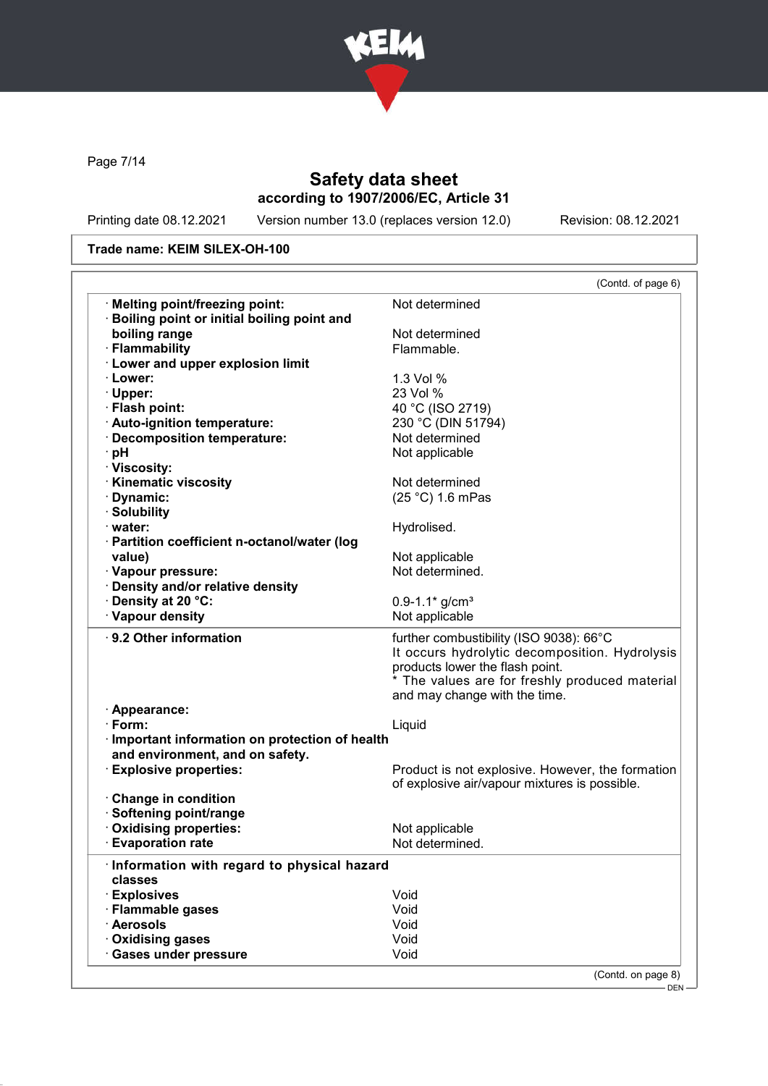

Page 7/14

# Safety data sheet according to 1907/2006/EC, Article 31

Printing date 08.12.2021 Version number 13.0 (replaces version 12.0) Revision: 08.12.2021

### Trade name: KEIM SILEX-OH-100

|                                                       | (Contd. of page 6)                                                                                                                                                                                              |
|-------------------------------------------------------|-----------------------------------------------------------------------------------------------------------------------------------------------------------------------------------------------------------------|
| · Melting point/freezing point:                       | Not determined                                                                                                                                                                                                  |
| · Boiling point or initial boiling point and          |                                                                                                                                                                                                                 |
| boiling range                                         | Not determined                                                                                                                                                                                                  |
| · Flammability                                        | Flammable.                                                                                                                                                                                                      |
| <b>Lower and upper explosion limit</b>                |                                                                                                                                                                                                                 |
| · Lower:                                              | 1.3 Vol %                                                                                                                                                                                                       |
| · Upper:                                              | 23 Vol %                                                                                                                                                                                                        |
| · Flash point:                                        | 40 °C (ISO 2719)                                                                                                                                                                                                |
| · Auto-ignition temperature:                          | 230 °C (DIN 51794)                                                                                                                                                                                              |
| · Decomposition temperature:                          | Not determined                                                                                                                                                                                                  |
| · pH                                                  | Not applicable                                                                                                                                                                                                  |
| · Viscosity:                                          |                                                                                                                                                                                                                 |
| <b>Kinematic viscosity</b>                            | Not determined                                                                                                                                                                                                  |
| · Dynamic:                                            | (25 °C) 1.6 mPas                                                                                                                                                                                                |
| · Solubility                                          |                                                                                                                                                                                                                 |
| · water:                                              | Hydrolised.                                                                                                                                                                                                     |
| · Partition coefficient n-octanol/water (log          |                                                                                                                                                                                                                 |
| value)                                                | Not applicable                                                                                                                                                                                                  |
| · Vapour pressure:                                    | Not determined.                                                                                                                                                                                                 |
| · Density and/or relative density                     |                                                                                                                                                                                                                 |
| · Density at 20 °C:                                   | $0.9 - 1.1*$ g/cm <sup>3</sup>                                                                                                                                                                                  |
| · Vapour density                                      | Not applicable                                                                                                                                                                                                  |
|                                                       |                                                                                                                                                                                                                 |
| ⋅ 9.2 Other information                               | further combustibility (ISO 9038): 66°C<br>It occurs hydrolytic decomposition. Hydrolysis<br>products lower the flash point.<br>* The values are for freshly produced material<br>and may change with the time. |
| · Appearance:                                         |                                                                                                                                                                                                                 |
| $\cdot$ Form:                                         | Liquid                                                                                                                                                                                                          |
| · Important information on protection of health       |                                                                                                                                                                                                                 |
|                                                       |                                                                                                                                                                                                                 |
|                                                       |                                                                                                                                                                                                                 |
| and environment, and on safety.                       |                                                                                                                                                                                                                 |
| · Explosive properties:                               |                                                                                                                                                                                                                 |
|                                                       | of explosive air/vapour mixtures is possible.                                                                                                                                                                   |
| Change in condition                                   |                                                                                                                                                                                                                 |
| · Softening point/range                               |                                                                                                                                                                                                                 |
| · Oxidising properties:                               | Not applicable                                                                                                                                                                                                  |
| <b>Evaporation rate</b>                               | Not determined.                                                                                                                                                                                                 |
| Information with regard to physical hazard<br>classes |                                                                                                                                                                                                                 |
| · Explosives                                          | Void                                                                                                                                                                                                            |
| · Flammable gases                                     | Void                                                                                                                                                                                                            |
| · Aerosols                                            | Void                                                                                                                                                                                                            |
| Oxidising gases                                       | Void                                                                                                                                                                                                            |
| <b>Gases under pressure</b>                           | Product is not explosive. However, the formation<br>Void                                                                                                                                                        |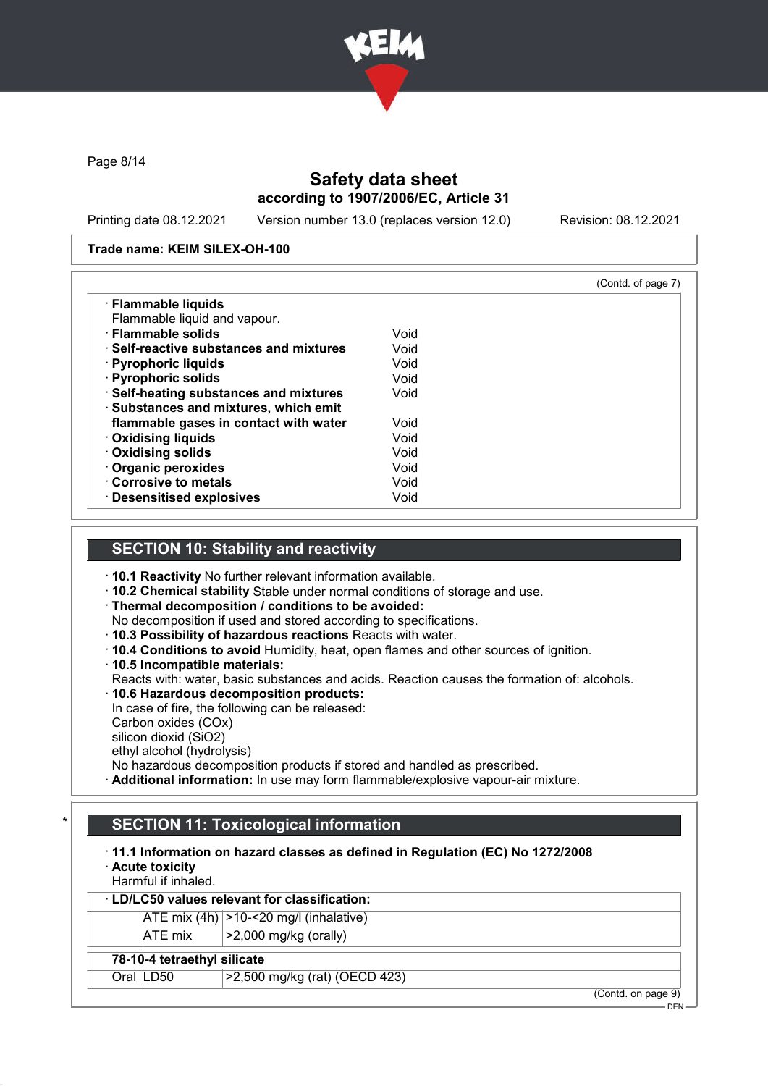

Page 8/14

# Safety data sheet according to 1907/2006/EC, Article 31

Printing date 08.12.2021 Version number 13.0 (replaces version 12.0) Revision: 08.12.2021

#### Trade name: KEIM SILEX-OH-100

|                                         | (Contd. of page 7) |  |
|-----------------------------------------|--------------------|--|
| · Flammable liquids                     |                    |  |
| Flammable liquid and vapour.            |                    |  |
| · Flammable solids                      | Void               |  |
| ⋅ Self-reactive substances and mixtures | Void               |  |
| · Pyrophoric liquids                    | Void               |  |
| · Pyrophoric solids                     | Void               |  |
| · Self-heating substances and mixtures  | Void               |  |
| · Substances and mixtures, which emit   |                    |  |
| flammable gases in contact with water   | Void               |  |
| <b>Oxidising liquids</b>                | Void               |  |
| · Oxidising solids                      | Void               |  |
| Organic peroxides                       | Void               |  |
| Corrosive to metals                     | Void               |  |
| <b>Desensitised explosives</b>          | Void               |  |

### SECTION 10: Stability and reactivity

- · 10.1 Reactivity No further relevant information available.
- · 10.2 Chemical stability Stable under normal conditions of storage and use.
- · Thermal decomposition / conditions to be avoided:
- No decomposition if used and stored according to specifications.
- · 10.3 Possibility of hazardous reactions Reacts with water.
- · 10.4 Conditions to avoid Humidity, heat, open flames and other sources of ignition.
- · 10.5 Incompatible materials:
- Reacts with: water, basic substances and acids. Reaction causes the formation of: alcohols.
- · 10.6 Hazardous decomposition products:
- In case of fire, the following can be released: Carbon oxides (COx)
- silicon dioxid (SiO2) ethyl alcohol (hydrolysis)
- 
- No hazardous decomposition products if stored and handled as prescribed.
- · Additional information: In use may form flammable/explosive vapour-air mixture.

## **SECTION 11: Toxicological information**

### · 11.1 Information on hazard classes as defined in Regulation (EC) No 1272/2008

· Acute toxicity

# Harmful if inhaled.

# LD/LC50 values relevant for classification:

ATE mix  $(4h)$   $>10-20$  mg/l (inhalative) ATE mix  $\vert$  >2,000 mg/kg (orally)

#### 78-10-4 tetraethyl silicate

Oral LD50 >2,500 mg/kg (rat) (OECD 423)

(Contd. on page 9)

DEN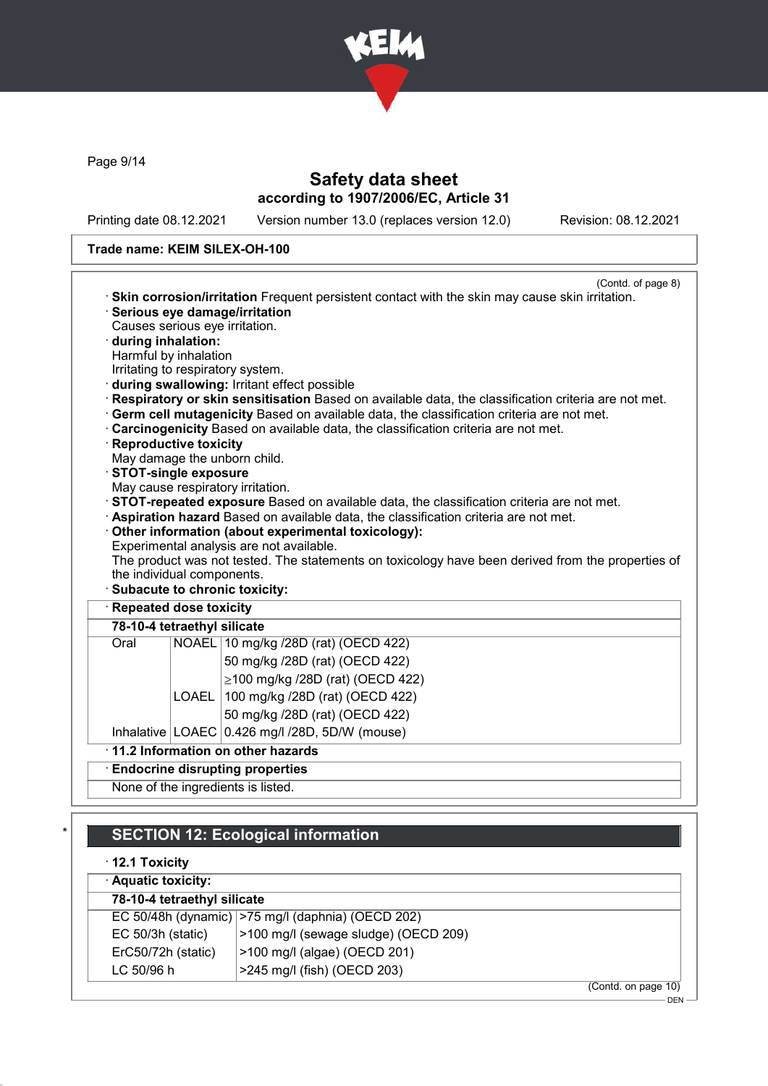

Page 9/14

# Safety data sheet according to 1907/2006/EC, Article 31

Printing date 08.12.2021 Version number 13.0 (replaces version 12.0) Revision: 08.12.2021

#### Trade name: KEIM SILEX-OH-100

| · Skin corrosion/irritation Frequent persistent contact with the skin may cause skin irritation.    | (Contd. of page 8) |  |
|-----------------------------------------------------------------------------------------------------|--------------------|--|
| · Serious eye damage/irritation                                                                     |                    |  |
| Causes serious eye irritation.                                                                      |                    |  |
| during inhalation:                                                                                  |                    |  |
| Harmful by inhalation                                                                               |                    |  |
| Irritating to respiratory system.                                                                   |                    |  |
| during swallowing: Irritant effect possible                                                         |                    |  |
| Respiratory or skin sensitisation Based on available data, the classification criteria are not met. |                    |  |
| · Germ cell mutagenicity Based on available data, the classification criteria are not met.          |                    |  |
| Carcinogenicity Based on available data, the classification criteria are not met.                   |                    |  |
| · Reproductive toxicity                                                                             |                    |  |
| May damage the unborn child.<br>STOT-single exposure                                                |                    |  |
| May cause respiratory irritation.                                                                   |                    |  |
| · STOT-repeated exposure Based on available data, the classification criteria are not met.          |                    |  |
| · Aspiration hazard Based on available data, the classification criteria are not met.               |                    |  |
| Other information (about experimental toxicology):                                                  |                    |  |
| Experimental analysis are not available.                                                            |                    |  |
| The product was not tested. The statements on toxicology have been derived from the properties of   |                    |  |
| the individual components.                                                                          |                    |  |
| · Subacute to chronic toxicity:                                                                     |                    |  |
| · Repeated dose toxicity                                                                            |                    |  |
| 78-10-4 tetraethyl silicate                                                                         |                    |  |
| Oral<br>NOAEL 10 mg/kg /28D (rat) (OECD 422)                                                        |                    |  |
| 50 mg/kg /28D (rat) (OECD 422)                                                                      |                    |  |
| $≥100$ mg/kg /28D (rat) (OECD 422)                                                                  |                    |  |
| 100 mg/kg /28D (rat) (OECD 422)<br><b>LOAEL</b>                                                     |                    |  |
| 50 mg/kg /28D (rat) (OECD 422)                                                                      |                    |  |
| Inhalative LOAEC 0.426 mg/l /28D, 5D/W (mouse)                                                      |                    |  |
| 11.2 Information on other hazards                                                                   |                    |  |
| <b>Endocrine disrupting properties</b>                                                              |                    |  |
| None of the ingredients is listed.                                                                  |                    |  |
|                                                                                                     |                    |  |

# **SECTION 12: Ecological information**

· 12.1 Toxicity

| · Aquatic toxicity:         |                                                   |
|-----------------------------|---------------------------------------------------|
| 78-10-4 tetraethyl silicate |                                                   |
|                             | EC 50/48h (dynamic) >75 mg/l (daphnia) (OECD 202) |
| $EC$ 50/3h (static)         | >100 mg/l (sewage sludge) (OECD 209)              |
| ErC50/72h (static)          | >100 mg/l (algae) (OECD 201)                      |
| LC 50/96 h                  | >245 mg/l (fish) (OECD 203)                       |
|                             | (Contd. on page 10)                               |

 $-$  DEN -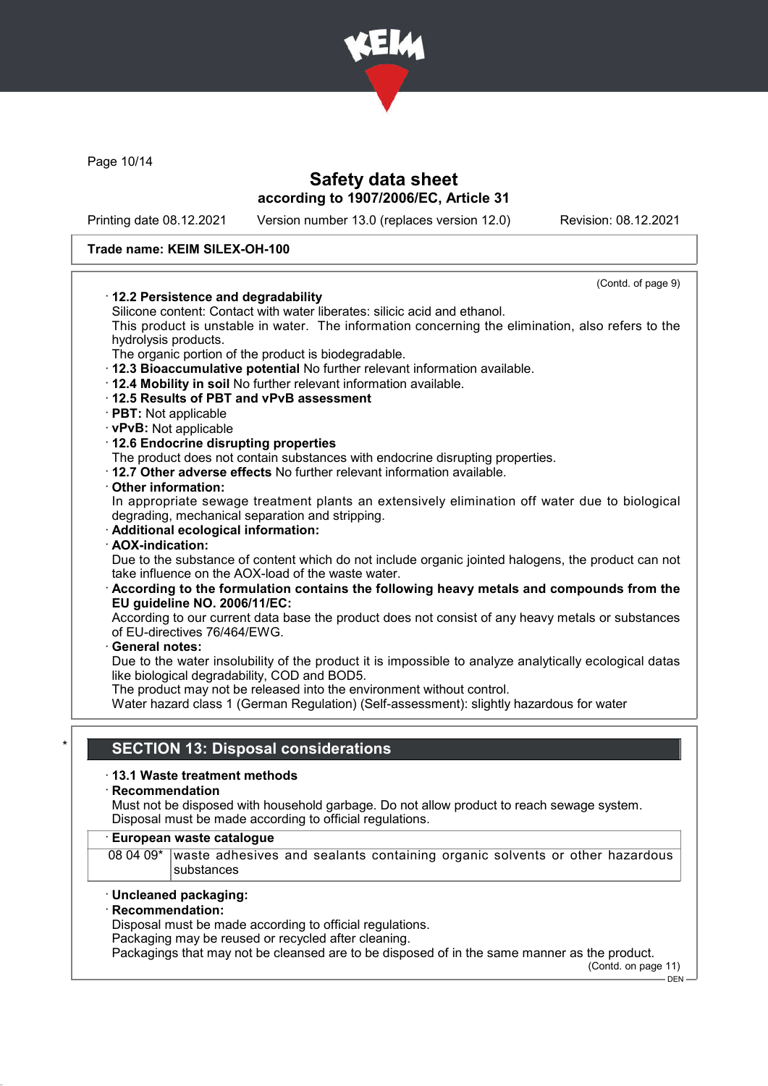

Page 10/14

# Safety data sheet according to 1907/2006/EC, Article 31

Printing date 08.12.2021 Version number 13.0 (replaces version 12.0) Revision: 08.12.2021

#### Trade name: KEIM SILEX-OH-100

| 12.2 Persistence and degradability                                                                                                                       | (Contd. of page 9) |
|----------------------------------------------------------------------------------------------------------------------------------------------------------|--------------------|
| Silicone content: Contact with water liberates: silicic acid and ethanol.                                                                                |                    |
| This product is unstable in water. The information concerning the elimination, also refers to the                                                        |                    |
| hydrolysis products.                                                                                                                                     |                    |
| The organic portion of the product is biodegradable.                                                                                                     |                    |
| · 12.3 Bioaccumulative potential No further relevant information available.                                                                              |                    |
| . 12.4 Mobility in soil No further relevant information available.                                                                                       |                    |
| 12.5 Results of PBT and vPvB assessment                                                                                                                  |                    |
| $\cdot$ PBT: Not applicable                                                                                                                              |                    |
| · vPvB: Not applicable                                                                                                                                   |                    |
| 12.6 Endocrine disrupting properties                                                                                                                     |                    |
| The product does not contain substances with endocrine disrupting properties.                                                                            |                    |
| . 12.7 Other adverse effects No further relevant information available.                                                                                  |                    |
| Other information:                                                                                                                                       |                    |
| In appropriate sewage treatment plants an extensively elimination off water due to biological                                                            |                    |
| degrading, mechanical separation and stripping.                                                                                                          |                    |
| · Additional ecological information:                                                                                                                     |                    |
| · AOX-indication:                                                                                                                                        |                    |
| Due to the substance of content which do not include organic jointed halogens, the product can not<br>take influence on the AOX-load of the waste water. |                    |
| According to the formulation contains the following heavy metals and compounds from the<br>EU guideline NO. 2006/11/EC:                                  |                    |
| According to our current data base the product does not consist of any heavy metals or substances<br>of EU-directives 76/464/EWG.                        |                    |
| <b>General notes:</b>                                                                                                                                    |                    |
| Due to the water insolubility of the product it is impossible to analyze analytically ecological datas<br>like biological degradability, COD and BOD5.   |                    |
| The product may not be released into the environment without control.                                                                                    |                    |
| Water hazard class 1 (German Regulation) (Self-assessment): slightly hazardous for water                                                                 |                    |
|                                                                                                                                                          |                    |
|                                                                                                                                                          |                    |
| <b>SECTION 13: Disposal considerations</b>                                                                                                               |                    |
| ⋅13.1 Waste treatment methods                                                                                                                            |                    |
| Recommendation                                                                                                                                           |                    |
| Must not be disposed with household garbage. Do not allow product to reach sewage system.                                                                |                    |
| Disposal must be made according to official regulations.                                                                                                 |                    |
| European waste catalogue                                                                                                                                 |                    |

#### 08 04 09<sup>\*</sup> waste adhesives and sealants containing organic solvents or other hazardous substances

#### · Uncleaned packaging:

### · Recommendation:

Disposal must be made according to official regulations.

Packaging may be reused or recycled after cleaning.

Packagings that may not be cleansed are to be disposed of in the same manner as the product. (Contd. on page 11)

 $-$  DEN  $\cdot$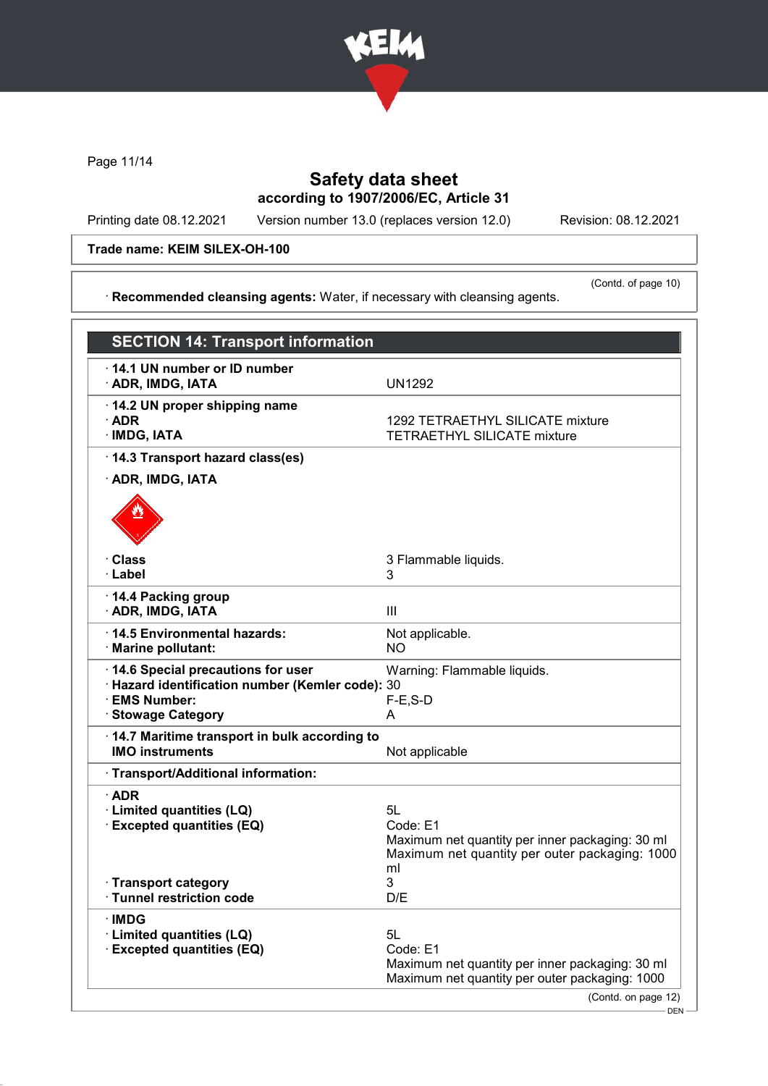

Page 11/14

# Safety data sheet according to 1907/2006/EC, Article 31

· Recommended cleansing agents: Water, if necessary with cleansing agents.

Printing date 08.12.2021 Version number 13.0 (replaces version 12.0) Revision: 08.12.2021

Trade name: KEIM SILEX-OH-100

(Contd. of page 10)

| <b>SECTION 14: Transport information</b>                                                                                     |                                                                                                                           |
|------------------------------------------------------------------------------------------------------------------------------|---------------------------------------------------------------------------------------------------------------------------|
| $\cdot$ 14.1 UN number or ID number<br>· ADR, IMDG, IATA                                                                     | <b>UN1292</b>                                                                                                             |
| 14.2 UN proper shipping name<br>$\cdot$ ADR<br>$\cdot$ IMDG, IATA                                                            | 1292 TETRAETHYL SILICATE mixture<br><b>TETRAETHYL SILICATE mixture</b>                                                    |
| · 14.3 Transport hazard class(es)                                                                                            |                                                                                                                           |
| · ADR, IMDG, IATA                                                                                                            |                                                                                                                           |
|                                                                                                                              |                                                                                                                           |
| · Class<br>· Label                                                                                                           | 3 Flammable liquids.<br>3                                                                                                 |
| 14.4 Packing group<br>· ADR, IMDG, IATA                                                                                      | $\mathbf{III}$                                                                                                            |
| 14.5 Environmental hazards:<br>· Marine pollutant:                                                                           | Not applicable.<br><b>NO</b>                                                                                              |
| 14.6 Special precautions for user<br>· Hazard identification number (Kemler code): 30<br>· EMS Number:<br>· Stowage Category | Warning: Flammable liquids.<br>$F-E$ , S-D<br>A                                                                           |
| 14.7 Maritime transport in bulk according to<br><b>IMO instruments</b>                                                       | Not applicable                                                                                                            |
| · Transport/Additional information:                                                                                          |                                                                                                                           |
| $\cdot$ ADR<br>· Limited quantities (LQ)<br><b>Excepted quantities (EQ)</b>                                                  | 5L<br>Code: E1<br>Maximum net quantity per inner packaging: 30 ml<br>Maximum net quantity per outer packaging: 1000<br>ml |
| · Transport category<br>· Tunnel restriction code                                                                            | 3<br>D/E                                                                                                                  |
| · IMDG<br>· Limited quantities (LQ)<br><b>Excepted quantities (EQ)</b>                                                       | 5L<br>Code: E1<br>Maximum net quantity per inner packaging: 30 ml<br>Maximum net quantity per outer packaging: 1000       |
|                                                                                                                              | (Contd. on page 12)                                                                                                       |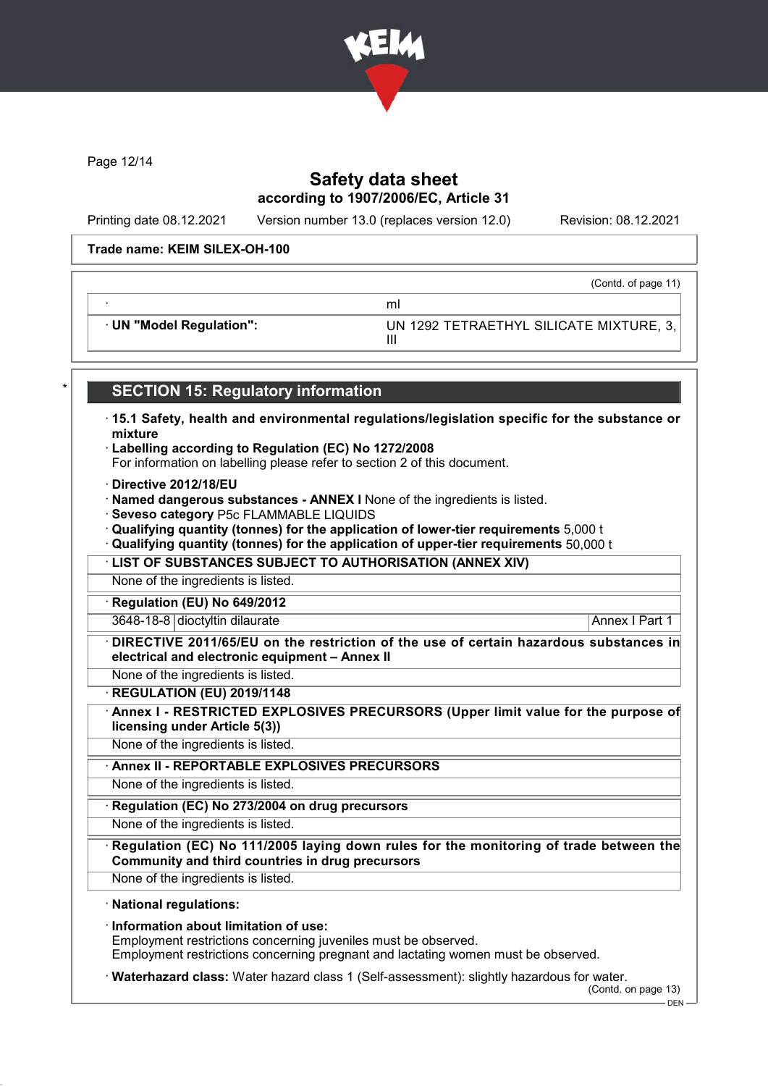

Page 12/14

# Safety data sheet according to 1907/2006/EC, Article 31

Printing date 08.12.2021 Version number 13.0 (replaces version 12.0) Revision: 08.12.2021

#### Trade name: KEIM SILEX-OH-100

(Contd. of page 11)

· UN "Model Regulation": UN 1292 TETRAETHYL SILICATE MIXTURE, 3,

## **SECTION 15: Regulatory information**

· ml

· 15.1 Safety, health and environmental regulations/legislation specific for the substance or mixture

III

- · Labelling according to Regulation (EC) No 1272/2008
- For information on labelling please refer to section 2 of this document.
- · Directive 2012/18/EU
- · Named dangerous substances ANNEX I None of the ingredients is listed.
- · Seveso category P5c FLAMMABLE LIQUIDS
- · Qualifying quantity (tonnes) for the application of lower-tier requirements 5,000 t
- · Qualifying quantity (tonnes) for the application of upper-tier requirements 50,000 t
- · LIST OF SUBSTANCES SUBJECT TO AUTHORISATION (ANNEX XIV)

None of the ingredients is listed.

Regulation (EU) No 649/2012

3648-18-8 dioctyltin dilaurate Annex I Part 1

DIRECTIVE 2011/65/EU on the restriction of the use of certain hazardous substances in electrical and electronic equipment – Annex II

None of the ingredients is listed.

· REGULATION (EU) 2019/1148

Annex I - RESTRICTED EXPLOSIVES PRECURSORS (Upper limit value for the purpose of licensing under Article 5(3))

None of the ingredients is listed.

Annex II - REPORTABLE EXPLOSIVES PRECURSORS

None of the ingredients is listed.

Regulation (EC) No 273/2004 on drug precursors

None of the ingredients is listed.

Regulation (EC) No 111/2005 laying down rules for the monitoring of trade between the Community and third countries in drug precursors

None of the ingredients is listed.

### · National regulations:

· Information about limitation of use: Employment restrictions concerning juveniles must be observed. Employment restrictions concerning pregnant and lactating women must be observed.

· Waterhazard class: Water hazard class 1 (Self-assessment): slightly hazardous for water.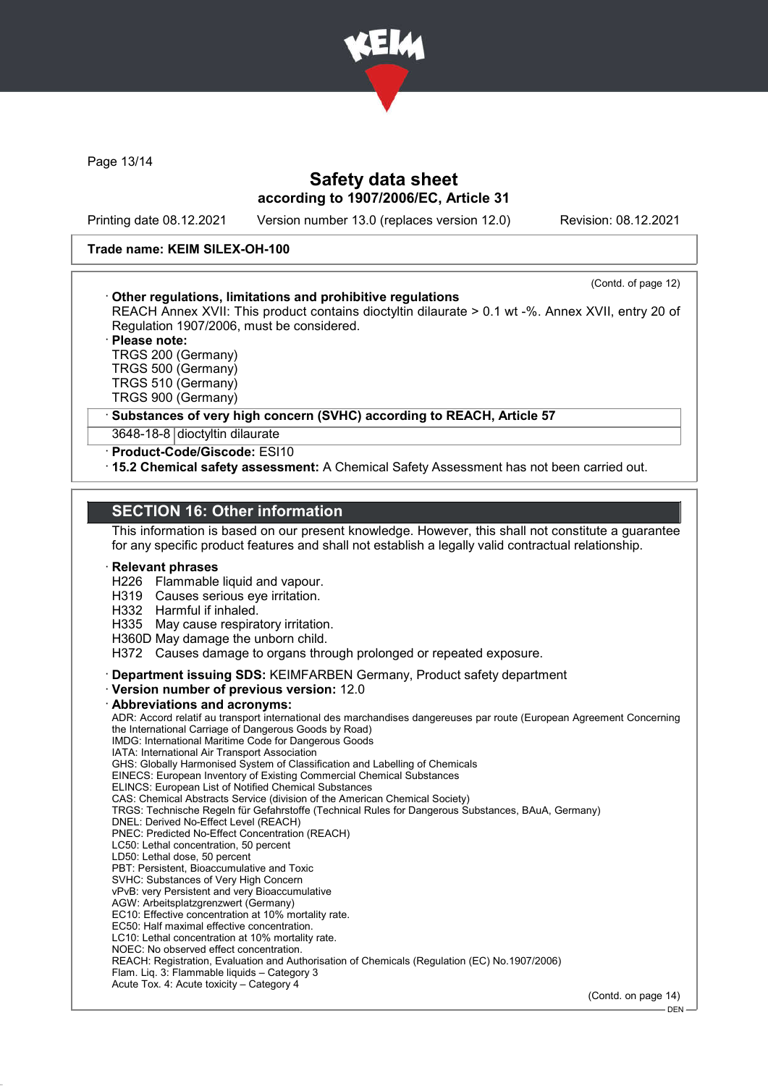

Page 13/14

# Safety data sheet according to 1907/2006/EC, Article 31

Printing date 08.12.2021 Version number 13.0 (replaces version 12.0) Revision: 08.12.2021

#### Trade name: KEIM SILEX-OH-100

|                                                                                                   | (Contd. of page 12) |
|---------------------------------------------------------------------------------------------------|---------------------|
| Other regulations, limitations and prohibitive regulations                                        |                     |
| REACH Annex XVII: This product contains dioctyltin dilaurate > 0.1 wt -%. Annex XVII, entry 20 of |                     |
| Regulation 1907/2006, must be considered.                                                         |                     |
| · Please note:                                                                                    |                     |
| TRGS 200 (Germany)                                                                                |                     |
| $\equiv$ $\equiv$ $\sim$ $\sim$ $\sim$ $\sim$                                                     |                     |

TRGS 500 (Germany) TRGS 510 (Germany) TRGS 900 (Germany)

Substances of very high concern (SVHC) according to REACH, Article 57

3648-18-8 dioctyltin dilaurate

· Product-Code/Giscode: ESI10

· 15.2 Chemical safety assessment: A Chemical Safety Assessment has not been carried out.

### SECTION 16: Other information

This information is based on our present knowledge. However, this shall not constitute a guarantee for any specific product features and shall not establish a legally valid contractual relationship.

#### **Relevant phrases**

H226 Flammable liquid and vapour.

- H319 Causes serious eye irritation.
- H332 Harmful if inhaled.
- H335 May cause respiratory irritation.
- H360D May damage the unborn child.

H372 Causes damage to organs through prolonged or repeated exposure.

· Department issuing SDS: KEIMFARBEN Germany, Product safety department

· Version number of previous version: 12.0

### · Abbreviations and acronyms:

ADR: Accord relatif au transport international des marchandises dangereuses par route (European Agreement Concerning the International Carriage of Dangerous Goods by Road) IMDG: International Maritime Code for Dangerous Goods IATA: International Air Transport Association GHS: Globally Harmonised System of Classification and Labelling of Chemicals EINECS: European Inventory of Existing Commercial Chemical Substances ELINCS: European List of Notified Chemical Substances CAS: Chemical Abstracts Service (division of the American Chemical Society) TRGS: Technische Regeln für Gefahrstoffe (Technical Rules for Dangerous Substances, BAuA, Germany) DNEL: Derived No-Effect Level (REACH) PNEC: Predicted No-Effect Concentration (REACH) LC50: Lethal concentration, 50 percent LD50: Lethal dose, 50 percent PBT: Persistent, Bioaccumulative and Toxic SVHC: Substances of Very High Concern vPvB: very Persistent and very Bioaccumulative AGW: Arbeitsplatzgrenzwert (Germany) EC10: Effective concentration at 10% mortality rate. EC50: Half maximal effective concentration. LC10: Lethal concentration at 10% mortality rate. NOEC: No observed effect concentration. REACH: Registration, Evaluation and Authorisation of Chemicals (Regulation (EC) No.1907/2006) Flam. Liq. 3: Flammable liquids – Category 3 Acute Tox. 4: Acute toxicity – Category 4

(Contd. on page 14)

<sup>-</sup> DEN